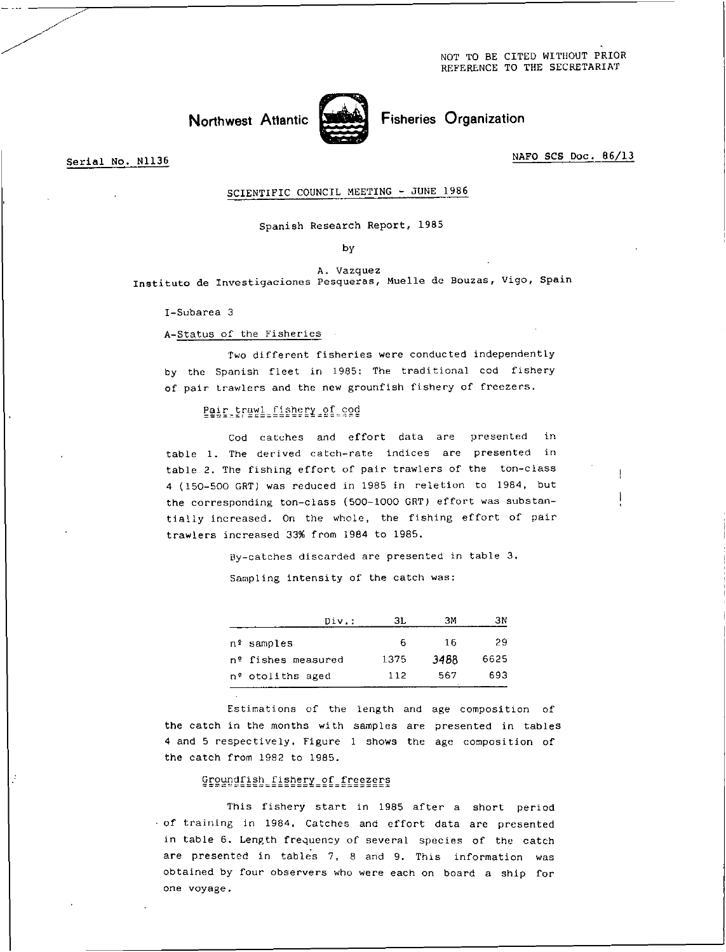Northwest Atlantic Street Fisheries Organization



Serial No. N1136 NAFO SCS Doc. 86/13

## SCIENTIFIC COUNCIL MEETING - JUNE 1986

Spanish Research Report, 1985

by

A. Vazquez Instituto de Investigaciones Pesqueras, Muelle de Bouzas, Vigo, Spain

I-Subarea 3

A-Status of the Fisheries

Two different fisheries were conducted independently by the Spanish fleet in 1985: The traditional cod fishery of pair trawlers and the new grounfish fishery of freezers.

Pair trawl fishery of cod

Cod catches and effort data are presented in table 1. The derived catch-rate indices are presented in table 2. The fishing effort of pair trawlers of the ton-class 4 (150-500 GRT) was reduced in 1985 in reletion to 1984, but the corresponding ton-class (500-1000 GRT) effort was substantially increased. On the whole, the fishing effort of pair trawlers increased 33% from 1984 to 1985.

> By-catches discarded are presented in table 3. Sampling intensity of the catch was:

| Div.:              | ЗL   | ЗМ   | ЗΝ   |
|--------------------|------|------|------|
| nº samples         | 6    | 16   | 29   |
| nº fishes measured | 1375 | 3488 | 6625 |
| nº otoliths aged   | 112  | 567  | 693  |
|                    |      |      |      |

Estimations of the length and age composition of the catch in the months with samples are presented in tables 4 and 5 respectively. Figure 1 shows the age composition of the catch from 1982 to 1985.

## Groundfish fishery of freezers

This fishery start in 1985 after a short period • of training in 1984. Catches and effort data are presented in table 6. Length frequency of several species of the catch are presented in tables 7, 8 and 9. This information was obtained by four observers who were each on board a ship for one voyage.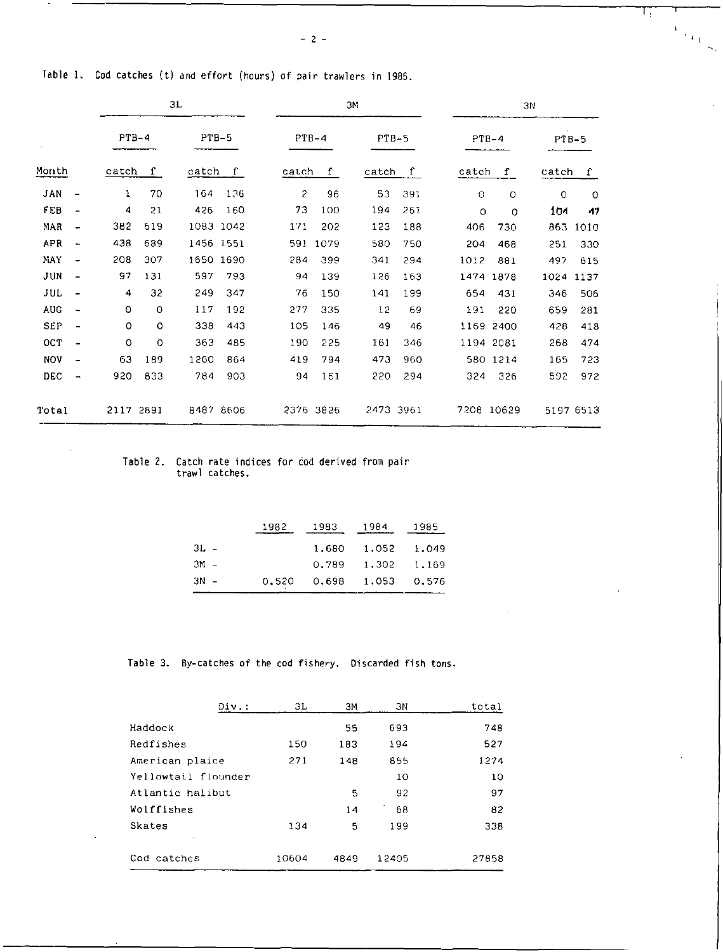प्त

 $\frac{1}{\sqrt{2}}\sum_{\substack{\mathbf{q} \in \mathbb{Z}^3\\ \mathbf{q} \in \mathbb{Z}^3}}$ 

|            |                          |       |              | 3L        |              |                |             | ЗM        |              |         |            | 3N      |           |
|------------|--------------------------|-------|--------------|-----------|--------------|----------------|-------------|-----------|--------------|---------|------------|---------|-----------|
|            |                          |       | $PTB-4$      | $PTB-5$   |              |                | $PTB-4$     | $PTB-5$   |              | $PTB-4$ |            | $PTB-5$ |           |
| Month      |                          | catch | $\mathbf{f}$ | catch     | $\mathbf{f}$ | catch          | $\mathbf f$ | catch     | $\mathbf{f}$ | catch   | $\Gamma$   | catch   | f         |
| JAN        | $\overline{a}$           | 1     | 70           | 164       | 136          | $\overline{c}$ | 96          | 53        | 391          | $\circ$ | $\circ$    | $\circ$ | $\circ$   |
| FEB        | $\overline{\phantom{a}}$ | 4     | 21           | 426       | 160          | 73             | 100         | 194       | 261          | 0       | $\Omega$   | 104     | 17        |
| MAR        | -                        | 382   | 619          | 1083 1042 |              | 171            | 202         | 123       | 188          | 406     | 730        | 863     | 1010      |
| APR        | -                        | 438   | 689          | 1456 1551 |              | 591            | 1079        | 580       | 750          | 204     | 468        | 251     | 330       |
| MAY        |                          | 208   | 307          | 1650 1690 |              | 284            | 399         | 341       | 294          | 1012    | 881        | 497     | 615       |
| JUN        | $\overline{a}$           | 97    | 131          | 597       | 793          | 94             | 139         | 126       | 163          | 1474    | 1878       | 1024    | 1137      |
| JUL        | $\overline{\phantom{0}}$ | 4     | 32           | 249       | 347          | 76             | 150         | 141       | 199          | 654     | 431        | 346     | 506       |
| AUG        | -                        | 0     | $\circ$      | 117       | 192          | 277            | 335         | 12        | 69           | 191     | 220        | 659     | 281       |
| SEP        | $\overline{\phantom{0}}$ | 0     | $\circ$      | 338       | 443          | 105            | 146         | 49        | 46           | 1169    | 2400       | 428     | 418       |
| <b>OCT</b> | -                        | 0     | 0            | 363       | 485          | 190            | 225         | 161       | 346          |         | 1194 2081  | 268     | 474       |
| <b>NOV</b> | $\blacksquare$           | 63    | 189          | 1260      | 864          | 419            | 794         | 473       | 960          |         | 580 1214   | 165     | 723       |
| DEC        | -                        | 920   | 833          | 784       | 903          | 94             | 161         | 220       | 294          | 324     | 326        | 592     | 972       |
| Total      |                          | 2117  | 2891         | 8487 8606 |              |                | 2376 3826   | 2473 3961 |              |         | 7208 10629 |         | 5197 6513 |

Table 1. Cod catches (t) and effort (hours) of pair trawlers in 1985.

## Table 2. Catch rate indices for cod derived from pair trawl catches.

|      | 1982 1983 1984 |                             | 1985 |
|------|----------------|-----------------------------|------|
| 3L – |                | 1,680 1,052 1,049           |      |
| 3м – |                | $0.789$ 1.302 1.169         |      |
| 3N – |                | $0.520$ $0.698$ 1.053 0.576 |      |

Table 3. By-catches of the cod fishery. Discarded fish tons.

| Div.:               | ЗL    | ЭΜ   | ЗN    | total |
|---------------------|-------|------|-------|-------|
| Haddock             |       | 55   | 693   | 748   |
| Redfishes           | 150   | 183  | 194   | 527   |
| American plaice     | 271   | 148  | 855   | 1274  |
| Yellowtail flounder |       |      | 10    | 10    |
| Atlantic halibut    |       | 5    | 92    | 97    |
| Wolffishes          |       | 14   | 68    | 82    |
| Skates              | 134   | 5    | 199   | 338   |
| Cod catches         | 10604 | 4849 | 12405 | 27858 |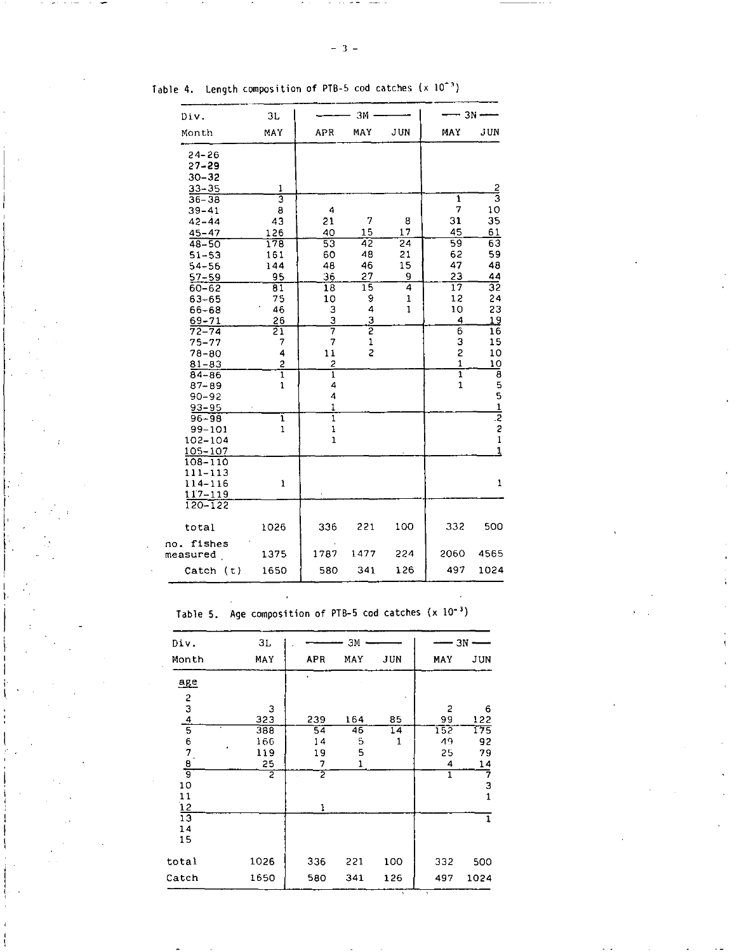| Div.      | 3L  |     | ЗΜ  |     |     | $3N$ $\longrightarrow$ |
|-----------|-----|-----|-----|-----|-----|------------------------|
| Month     | MAY | APR | MAY | JUN | MAY | J UN                   |
| $24 - 26$ |     |     |     |     |     |                        |
| $27 - 29$ |     |     |     |     |     |                        |
| $30 - 32$ |     |     |     |     |     |                        |
| $33 - 35$ |     |     |     |     |     | ኅ                      |
| $36 - 38$ |     |     |     |     |     | Э                      |
| $39 - 41$ | 8   | 4   |     |     | 7   | 10                     |
| $42 - 44$ | 43  | 21  | 7   | 8   | 31  | 35                     |
| $45 - 47$ | 126 | 40  | 15  | 17  | 45  | 61                     |

Table 4. Length composition of PTB-5 cod catches  $(x 10^{-3})$ 

| 45-47      | 126                                                                                                                                                                              | 40                                                               | 15                                                                                                                           | 17                                                                   | 45                                                 | 61                                                                                                |
|------------|----------------------------------------------------------------------------------------------------------------------------------------------------------------------------------|------------------------------------------------------------------|------------------------------------------------------------------------------------------------------------------------------|----------------------------------------------------------------------|----------------------------------------------------|---------------------------------------------------------------------------------------------------|
| $48 - 50$  | 178                                                                                                                                                                              |                                                                  |                                                                                                                              |                                                                      |                                                    | $\overline{63}$                                                                                   |
| $51 - 53$  | 161                                                                                                                                                                              | 60                                                               | 48                                                                                                                           | 21                                                                   | 62                                                 | 59                                                                                                |
| $54 - 56$  | 144                                                                                                                                                                              | 48                                                               | 46                                                                                                                           | 15                                                                   | 47                                                 | 48                                                                                                |
| 57-59      | 95                                                                                                                                                                               | 36                                                               | 27                                                                                                                           | 9                                                                    | 23                                                 | 44                                                                                                |
| $60 - 62$  | $\overline{81}$                                                                                                                                                                  | 18                                                               |                                                                                                                              |                                                                      | $\overline{17}$                                    | 32                                                                                                |
|            | 75                                                                                                                                                                               | 10                                                               |                                                                                                                              | 1                                                                    | 12                                                 | 24                                                                                                |
| 66-68      | 46                                                                                                                                                                               |                                                                  |                                                                                                                              |                                                                      |                                                    | 23                                                                                                |
| $69 - 71$  | $^{26}$                                                                                                                                                                          |                                                                  |                                                                                                                              |                                                                      | 4                                                  | <u> 19</u>                                                                                        |
| $72 - 74$  | 21                                                                                                                                                                               |                                                                  |                                                                                                                              |                                                                      |                                                    | 16                                                                                                |
| $75 - 77$  | 7                                                                                                                                                                                |                                                                  |                                                                                                                              |                                                                      |                                                    | 15                                                                                                |
| $78 - 80$  | 4                                                                                                                                                                                |                                                                  |                                                                                                                              |                                                                      |                                                    | 10                                                                                                |
| $81 - 83$  |                                                                                                                                                                                  |                                                                  |                                                                                                                              |                                                                      |                                                    | 10                                                                                                |
| $84 - 86$  |                                                                                                                                                                                  |                                                                  |                                                                                                                              |                                                                      |                                                    |                                                                                                   |
|            |                                                                                                                                                                                  |                                                                  |                                                                                                                              |                                                                      |                                                    |                                                                                                   |
|            |                                                                                                                                                                                  |                                                                  |                                                                                                                              |                                                                      |                                                    |                                                                                                   |
|            |                                                                                                                                                                                  |                                                                  |                                                                                                                              |                                                                      |                                                    | $8551$<br>$221$                                                                                   |
| $96 - 98$  |                                                                                                                                                                                  |                                                                  |                                                                                                                              |                                                                      |                                                    |                                                                                                   |
| $99 - 101$ |                                                                                                                                                                                  |                                                                  |                                                                                                                              |                                                                      |                                                    |                                                                                                   |
| 102-104    |                                                                                                                                                                                  |                                                                  |                                                                                                                              |                                                                      |                                                    |                                                                                                   |
| 105-107    |                                                                                                                                                                                  |                                                                  |                                                                                                                              |                                                                      |                                                    | $\mathbf{1}$                                                                                      |
|            |                                                                                                                                                                                  |                                                                  |                                                                                                                              |                                                                      |                                                    |                                                                                                   |
|            |                                                                                                                                                                                  |                                                                  |                                                                                                                              |                                                                      |                                                    |                                                                                                   |
|            |                                                                                                                                                                                  |                                                                  |                                                                                                                              |                                                                      |                                                    | $\mathbf{1}$                                                                                      |
|            |                                                                                                                                                                                  |                                                                  |                                                                                                                              |                                                                      |                                                    |                                                                                                   |
|            |                                                                                                                                                                                  |                                                                  |                                                                                                                              |                                                                      |                                                    |                                                                                                   |
|            |                                                                                                                                                                                  |                                                                  |                                                                                                                              |                                                                      |                                                    |                                                                                                   |
|            |                                                                                                                                                                                  |                                                                  |                                                                                                                              |                                                                      |                                                    | 500                                                                                               |
|            |                                                                                                                                                                                  |                                                                  |                                                                                                                              |                                                                      |                                                    |                                                                                                   |
|            |                                                                                                                                                                                  |                                                                  | 1477                                                                                                                         | 224                                                                  |                                                    | 4565                                                                                              |
|            |                                                                                                                                                                                  |                                                                  |                                                                                                                              |                                                                      |                                                    |                                                                                                   |
|            |                                                                                                                                                                                  |                                                                  |                                                                                                                              |                                                                      |                                                    | 1024                                                                                              |
|            | $63 - 65$<br>$87 - 89$<br>$90 - 92$<br>$93 - 95$<br>108-110<br>$111 - 113$<br>114-116<br>117-119<br>$120 - 122$<br>total<br>no. fishes<br>measured<br>$\text{Catch}(\mathbf{t})$ | $\frac{2}{1}$<br>1<br>$\frac{1}{1}$<br>1<br>1026<br>1375<br>1650 | $\overline{53}$<br>3<br>$\frac{3}{7}$<br>7<br>11<br>$\frac{2}{1}$<br>4<br>4<br>1<br>ī<br>$\frac{1}{1}$<br>336<br>1787<br>580 | 42<br>15<br>9<br>4<br>$rac{3}{2}$<br>$\mathbf{1}$<br>2<br>221<br>341 | $\overline{24}$<br>4<br>$\mathbf{1}$<br>100<br>126 | $\overline{59}$<br>10<br>$\overline{6}$<br>3<br>2<br>1<br>ī<br>$\mathbf{1}$<br>332<br>2060<br>497 |

Table 5. Age composition of PTB-5 cod catches  $(x 10^{-3})$ 

 $\overline{a}$ 

| Div.                                | 31   |                 | ЗМ  |                 |     | - 3N –                  |
|-------------------------------------|------|-----------------|-----|-----------------|-----|-------------------------|
| Month                               | MAY  | APR             | MAY | JUN             | MAY | JUN                     |
| $_{\underline{age}}$                |      |                 |     |                 |     |                         |
|                                     |      |                 |     |                 |     |                         |
| $234$<br>$567$<br>$8$<br>$9$<br>$9$ | 3    |                 |     |                 | 2   | 6                       |
|                                     | 323  | 239             | 164 | 85              | 99  | 122                     |
|                                     | 383  | $\overline{54}$ | 46  | $\overline{14}$ | 152 | 175                     |
|                                     | 166  | 14              | 5   | 1               | 49  | 92                      |
|                                     | 119  | 19              | 5   |                 | 25  | 79                      |
|                                     | 25   | 7               | 1   |                 | 4   | 14                      |
|                                     | 2    | 2               |     |                 | 1   | 7                       |
| 10                                  |      |                 |     |                 |     | 3                       |
| 11                                  |      |                 |     |                 |     | $\overline{\mathbf{1}}$ |
| 12                                  |      |                 |     |                 |     |                         |
| $\overline{13}$                     |      |                 |     |                 |     | 1                       |
| 14                                  |      |                 |     |                 |     |                         |
| 15                                  |      |                 |     |                 |     |                         |
| total                               | 1026 | 336             | 221 | 100             | 332 | 500                     |
| Catch                               | 1650 | 580             | 341 | 126             | 497 | 1024                    |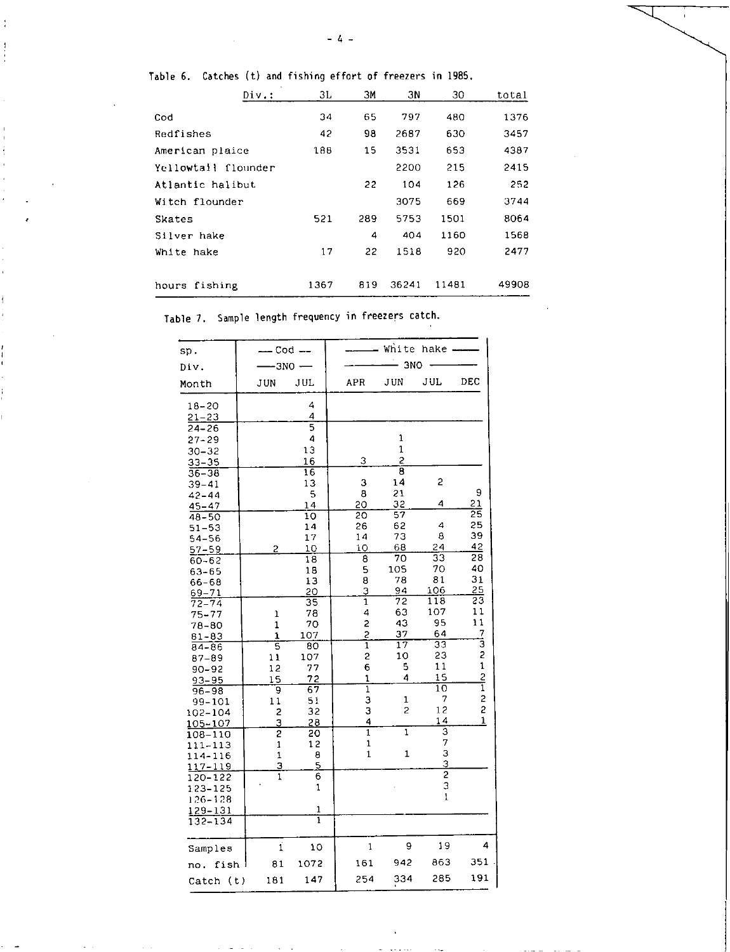| × |
|---|
|---|

|  |  |  |  |  |  |  |  |  | Table 6.  Catches (t) and fishing effort of freezers in 1985. |  |  |
|--|--|--|--|--|--|--|--|--|---------------------------------------------------------------|--|--|
|--|--|--|--|--|--|--|--|--|---------------------------------------------------------------|--|--|

ł

| Div:                | ЗL   | ЗМ  | ЗN    | 30    | total |
|---------------------|------|-----|-------|-------|-------|
| Cod                 | 34   | 65  | 797   | 480   | 1376  |
| Redfishes           | 42   | 98  | 2687  | 630   | 3457  |
| American plaice     | 188  | 15  | 3531  | 653   | 4387  |
| Yellowtail flounder |      |     | 2200  | 215   | 2415  |
| Atlantic halibut    |      | 22  | 104   | 126   | 252   |
| Witch flounder      |      |     | 3075  | 669   | 3744  |
| Skates              | 521  | 289 | 5753  | 1501  | 8064  |
| Silver hake         |      | 4   | 404   | 1160  | 1568  |
| White hake          | 17   | 22  | 1518  | 920   | 2477  |
|                     |      |     |       |       |       |
| hours fishing       | 1367 | 819 | 36241 | 11481 | 49908 |

Table 7. Sample length frequency in freezers catch.

| sp.                |              | - Cod --  |                | White hake              |                |               |  |  |  |
|--------------------|--------------|-----------|----------------|-------------------------|----------------|---------------|--|--|--|
| Div.               | $-3N0$       |           |                | 3N <sub>O</sub>         |                |               |  |  |  |
| Month              | JUN          | JUL       | <b>APR</b>     | JUN                     | JUL            | DEC           |  |  |  |
| $18 - 20$          |              | 4         |                |                         |                |               |  |  |  |
| $21 - 23$          |              | 4         |                |                         |                |               |  |  |  |
| 24-26              |              | 5<br>4    |                | 1                       |                |               |  |  |  |
| $27 - 29$          |              | 13        |                | 1                       |                |               |  |  |  |
| $30 - 32$          |              | 16        | 3              | 2                       |                |               |  |  |  |
| $33 - 35$<br>36–38 |              | 16        |                | $\overline{\mathbf{g}}$ |                |               |  |  |  |
| 39–41              |              | 13        | 3              | 14                      | 2              |               |  |  |  |
| 42-44              |              | 5         | 8              | 21                      |                | 9             |  |  |  |
| 45–47              |              | 14        | 20             | 32                      | 4              | 21            |  |  |  |
| 48–50              |              | 10        | 20             | 57                      |                | 25            |  |  |  |
| $51 - 53$          |              | 14        | 26             | 62                      | 4              | 25            |  |  |  |
| 54–56              |              | 17        | 14             | 73                      | 8              | 39            |  |  |  |
| $57 - 59$          | 2            | 10        | 10             | 68                      | 24             | 42            |  |  |  |
| 60–62              |              | 18        | 8              | 70                      | 33             | 28            |  |  |  |
| 63–65              |              | 18        | 5              | 105                     | 70             | 40            |  |  |  |
| 66–68              |              | 13        | 8              | 78                      | 81             | 31            |  |  |  |
| 69–71              |              | 20        | 3              | 94                      | 106            | 25            |  |  |  |
| 72–74              |              | 35        | 1              | 72                      | 118            | 23            |  |  |  |
| 75–77              | 1            | 78        | 4              | 63                      | 107            | 11            |  |  |  |
| 78-80              | 1            | 70        | 2              | 43                      | 95             | 11            |  |  |  |
| 81-83              | $\mathbf{1}$ | 107       | $\overline{2}$ | 37                      | 64             | $\frac{7}{3}$ |  |  |  |
| 84–86              | 5            | 80        | $\overline{1}$ | 17<br>10                | 33<br>23       | 2             |  |  |  |
| 87–89              | 11           | 107       | 2              | 5                       | 11             | $\mathbf{1}$  |  |  |  |
| 90–92              | 12           | 77        | 6<br>1         | 4                       | 15             |               |  |  |  |
| $93 - 95$          | 15           | 72<br>67  | ī              |                         | 10             | $\frac{2}{1}$ |  |  |  |
| $96 - 98$          | 9<br>$1\,1$  | 51        | З              | 1                       | 7              | 2             |  |  |  |
| 99-101             | 2            | 32        | З              | 2                       | 12             | 2             |  |  |  |
| 102-104<br>105–107 | 3            | <u>28</u> | 4              |                         | 14             | 1             |  |  |  |
| 108-110            | 2            | 20        | $\overline{1}$ | 1                       | 3              |               |  |  |  |
| 111-113            | 1            | 12        | 1              |                         | 7              |               |  |  |  |
| 114-116            | 1            | 8         | $\mathbf{1}$   | 1                       | 3              |               |  |  |  |
| 117-119            | з            | 5         |                |                         | 3              |               |  |  |  |
| 120-122            | $\mathbf 1$  | 6         |                |                         | $\overline{2}$ |               |  |  |  |
| 123-125            |              | 1         |                |                         | 3              |               |  |  |  |
| 126-128            |              |           |                |                         | $\mathbf 1$    |               |  |  |  |
| 129-131            |              | 1         |                |                         |                |               |  |  |  |
| $132 - 134$        |              | ī         |                |                         |                |               |  |  |  |
| Samples            | $\mathbf i$  | 10        | $\mathbf{1}$   | 9                       | 19             | 4             |  |  |  |
| fish<br>no.        | 81           | 1072      | 161            | 942                     | 863            | 351           |  |  |  |
| Catch (t)          | 181          | 147       | 254            | 334                     | 285            | 191           |  |  |  |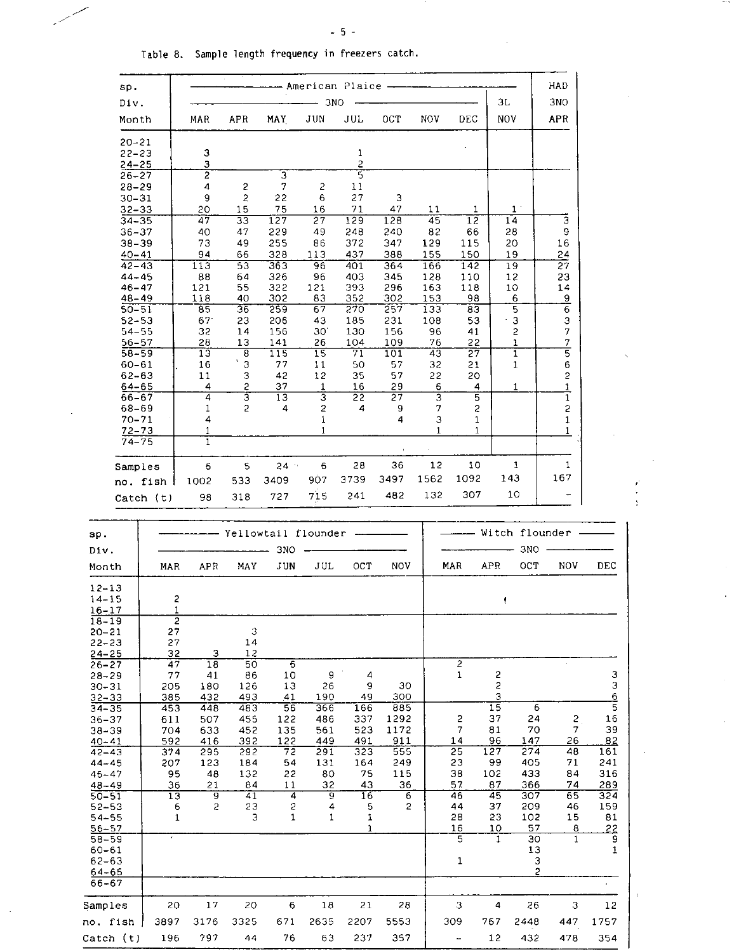- American Plaice -

HAD

ï ŧ

 $\hat{\mathbf{r}}$ 

 $\overline{1}$ 

Table 8. Sample length frequency in freezers catch.

sp.

| Div.                                |                          |                 |                              |                     | 3 <sub>NO</sub> |                     |              |            |                | ЗL                           |                     | 3NO                  |               |
|-------------------------------------|--------------------------|-----------------|------------------------------|---------------------|-----------------|---------------------|--------------|------------|----------------|------------------------------|---------------------|----------------------|---------------|
| Month                               |                          | MAR             | APR                          | MAY.                | JUN             | JUL                 | OCT          | NOV.       | DEC.           | <b>NOV</b>                   |                     | APR                  |               |
| $20 - 21$<br>$22 - 23$<br>$24 - 25$ |                          | 3<br>з          |                              |                     |                 | 1<br>$\overline{c}$ |              |            |                |                              |                     |                      |               |
| $26 - 27$<br>$28 - 29$              |                          | 2<br>4          | 2                            | 3<br>7              | 2               | 5<br>11             |              |            |                |                              |                     |                      |               |
| 30–31                               |                          | 9               | $\overline{c}$               | 22                  | 6               | 27                  | З            |            |                |                              |                     |                      |               |
| 32-33                               |                          | 20              | 15                           | 75<br>127           | 16              | 71                  | 47<br>128    | 11         | 1              |                              | $\mathbf{1}$<br>14  | 3                    |               |
| $34 - 35$<br>$36 - 37$              |                          | 47<br>40        | 33<br>47                     | 229                 | 27<br>49        | 129<br>248          | 240          | 45<br>82   | 12<br>66       |                              | 28                  | 9                    |               |
| $38 - 39$                           |                          | 73              | 49                           | 255                 | 86              | 372                 | 347          | 129        | 115            |                              | 20                  | 16                   |               |
| $40 - 41$<br>$42 - 43$              |                          | 94<br>113       | 66<br>53                     | 328<br>363          | 113<br>96       | 437<br>401          | 388<br>364   | 155<br>166 | 150<br>142     |                              | 19<br>19            | 24<br>27             |               |
| $44 - 45$                           |                          | 88              | 64                           | 326                 | 96              | 403                 | 345          | 128        | 110            |                              | 12                  | 23                   |               |
| $46 - 47$<br>48-49                  |                          | 121<br>118      | 55<br>40                     | 322<br>302          | 121<br>83       | 393<br>352          | 296<br>302   | 163<br>153 | 118<br>98      |                              | 10<br>6             | 14<br>$\overline{a}$ |               |
| $50 - 51$                           |                          | $\overline{85}$ | 36                           | 259                 | 67              | 270                 | 257          | 133        | 83             |                              | 5                   | $\overline{6}$       |               |
| $52 - 53$<br>$54 - 55$              |                          | 67<br>32        | 23<br>14                     | 206<br>156          | 43<br>30.       | 185<br>130          | 231<br>156   | 108<br>96  | 53<br>41       |                              | 3<br>2              | 3<br>7               |               |
| 56–57                               |                          | 28              | 13                           | 141                 | 26              | 104                 | 109          | 76         | 22             |                              | 1                   | 7                    |               |
| $58 - 59$<br>60-61                  |                          | 13<br>16        | $\overline{\mathbf{8}}$<br>З | 115<br>77           | 15<br>11        | 71<br>50            | 101<br>57    | 43<br>32   | 27<br>21       |                              | $\overline{1}$<br>1 | $\overline{5}$<br>6  |               |
| $62 - 63$                           |                          | 11              | З                            | 42                  | 12              | 35                  | 57           | 22         | 20             |                              |                     | 2                    |               |
| $64 - 65$<br>66-67                  |                          | 4<br>4          | 2<br>3                       | 37<br>13            | 1<br>3          | 16<br>22            | 29<br>27     | 6<br>3     | 4<br>5         |                              | 1                   | 1<br>1               |               |
| 68-69                               |                          | 1               | 2                            | 4                   | 2               | 4                   | 9            | 7          | 2              |                              |                     | 2                    |               |
| $70 - 71$<br>72–73                  |                          | 4<br>1          |                              |                     | 1<br>1          |                     | 4            | 3<br>1     | 1<br>1         |                              |                     | 1<br>1               |               |
| $74 - 75$                           |                          | ī               |                              |                     |                 |                     |              |            |                |                              |                     |                      |               |
| Samples                             |                          | 6               | 5                            | $24 -$              | 6<br>907        | 28<br>3739          | 36<br>3497   | 12<br>1562 | 10<br>1092     |                              | 1<br>143            | 1<br>167             |               |
|                                     | no. fish                 | 1002<br>98      | 533<br>318                   | 3409<br>727         | 715             | 241                 | 482          | 132        | 307            |                              | 10                  |                      |               |
|                                     | $\text{Catch}(\text{t})$ |                 |                              |                     |                 |                     |              |            |                |                              |                     |                      |               |
| sp.                                 |                          |                 |                              | Yellowtail flounder |                 |                     |              |            |                |                              | Witch flounder      |                      |               |
| Div.                                |                          |                 |                              | 3NO                 |                 |                     |              |            |                |                              | 3NO                 |                      |               |
| Month                               | MAR                      | APR             | MAY                          | JUN                 | JUL             | oct                 | NOV          |            | MAR            | APR                          | OСТ                 | NOV                  | DEC           |
| $12 - 13$                           |                          |                 |                              |                     |                 |                     |              |            |                |                              |                     |                      |               |
| $14 - 15$<br>$16 - 17$              | 2<br>1                   |                 |                              |                     |                 |                     |              |            |                | ŧ                            |                     |                      |               |
| $18 - 19$                           | $\overline{2}$           |                 |                              |                     |                 |                     |              |            |                |                              |                     |                      |               |
| $20 - 21$<br>$22 - 23$              | 27<br>27                 |                 | 3<br>14                      |                     |                 |                     |              |            |                |                              |                     |                      |               |
| $24 - 25$                           | 32                       | з               | 12                           |                     |                 |                     |              |            | $\overline{2}$ |                              |                     |                      |               |
| $26 - 27$<br>$28 - 29$              | 47<br>77                 | 18<br>41        | 50<br>86                     | 6<br>10             | 9               | 4                   |              |            | $\mathbf{1}$   | 2                            |                     |                      | 3             |
| $30 - 31$<br>$32 - 33$              | 205<br>385               | 180<br>432      | 126<br>493                   | 13<br>41            | 26<br>190       | 9<br>49             | 30<br>300    |            |                | $\overline{\mathbf{c}}$<br>3 |                     |                      | 3             |
| $34 - 35$                           | 453                      | 448             | 483                          | 56                  | 366             | 166                 | 885          |            |                | $\overline{15}$              | 6                   |                      | $\frac{6}{5}$ |
| $36 - 37$<br>$38 - 39$              | 611<br>704               | 507<br>633      | 455<br>452                   | 122<br>135          | 486<br>561      | 337<br>523          | 1292<br>1172 |            | 2<br>7         | 37<br>81                     | 24<br>70            | 2<br>7               | 16<br>39      |
| $40 - 41$                           | 592                      | 416             | 392                          | 122                 | 449             | 491                 | 911          |            | 14             | 96                           | 147                 | 26                   | 82            |
| $42 - 43$<br>$44 - 45$              | 374<br>207               | 295<br>123      | 292<br>184                   | 72<br>54            | 291<br>131      | 323<br>164          | 555<br>249   |            | 25<br>23       | 127<br>99                    | 274<br>405          | 48<br>71             | 161<br>241    |
| $46 - 47$                           | 95                       | 48              | 132                          | 22                  | 80              | 75                  | 115          |            | 38             | 102                          | 433                 | 84                   | 316           |
| $48 - 49$<br>$50 - 51$              | 36<br>13                 | 21<br>9         | 84<br>41                     | 11<br>4             | 32<br>9         | 43<br>16            | 36<br>6      |            | 57<br>46       | 87<br>45                     | 366<br>307          | 74<br>65             | 289<br>324    |
| $52 - 53$                           | 6<br>$\mathbf{1}$        | 2               | 23<br>з                      | 2<br>$\mathbf 1$    | 4<br>1          | 5                   | 2            |            | 44             | 37                           | 209                 | 46                   | 159           |
| $54 - 55$<br>$56 - 57$              |                          |                 |                              |                     |                 | 1<br>1              |              |            | 28<br>16       | 23<br>10                     | 102<br>57           | 15<br>8              | 81<br>22      |
| $58 - 59$<br>$60 - 61$              | $\epsilon$               |                 |                              |                     |                 |                     |              |            | 5              | $\mathbf{1}$                 | 30<br>13            | 1                    | 9<br>1        |
| $62 - 63$                           |                          |                 |                              |                     |                 |                     |              |            | 1              |                              | З                   |                      |               |
| 64-65<br>66-67                      |                          |                 |                              |                     |                 |                     |              |            |                |                              | $\tilde{z}$         |                      |               |
| Samples                             | 20                       | 17              | 20                           | 6                   | 18              | 21                  | 28           |            | 3              | 4                            | 26                  | 3                    | 12            |
| no. fish                            | 3897                     | 3176            | 3325                         | 671                 | 2635            | 2207                | 5553         |            | 309            | 767                          | 2448                | 447                  | 1757          |
| Catch (t)                           | 196                      | 797             | 44                           | 76                  | 63              | 237                 | 357          |            |                | 12                           | 432                 | 478                  | 354           |
|                                     |                          |                 |                              |                     |                 |                     |              |            |                |                              |                     |                      |               |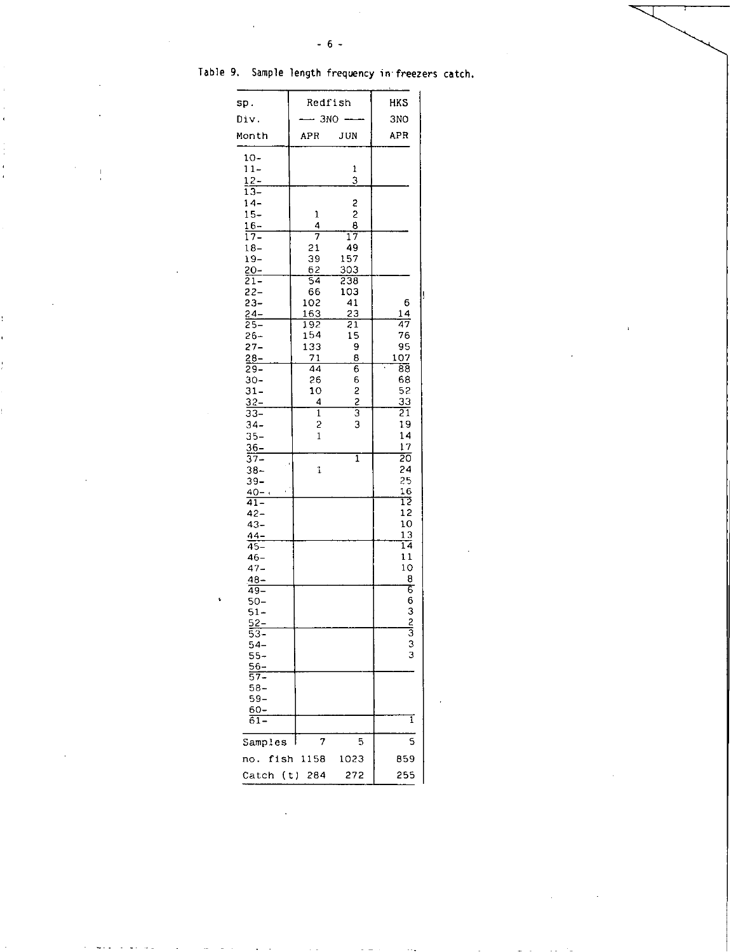| sp.                         | Redfish                        | <b>HKS</b>      |                 |
|-----------------------------|--------------------------------|-----------------|-----------------|
| Div.                        |                                | 3NO             | 3NO             |
| Month                       | APR                            | JUN             | <b>APR</b>      |
| $10 -$                      |                                |                 |                 |
| $11 -$                      |                                | 1               |                 |
| $12 -$                      |                                | $\overline{3}$  |                 |
| $\overline{13-}$<br>$14-$   |                                |                 |                 |
| $15 -$                      | 1                              | S<br>2          |                 |
| $16 -$                      | 4                              | 8               |                 |
| $17-$                       | $\overline{7}$                 | $\overline{17}$ |                 |
| $18 -$                      | 21                             | 49              |                 |
| $19 -$                      | 39                             | 157             |                 |
| 20-                         | 62                             | 303             |                 |
| $\overline{21}$ –<br>$22 -$ | 54<br>66                       | 238<br>103      |                 |
| 23–                         | 102                            | 41              | 6               |
| $24 -$                      | 163                            | $^{23}$         | 14              |
| $25-$                       | 192                            | $\overline{21}$ | 47              |
| 26–                         | 154                            | 15              | 76              |
| $27 -$<br>$28 -$            | 133<br>71                      | 9<br>8          | 95<br>107       |
| 29-                         | 44                             | 6               | 88              |
| 30-                         | 26                             | 6               | 68              |
| $31 -$                      | 10                             | 2               | 52              |
| $32 -$                      | 4                              | $\frac{2}{3}$   | 33              |
| 33–                         | 1                              |                 | $\overline{21}$ |
| $34-$                       | $\overline{c}$<br>$\mathbf{1}$ | 3               | 19<br>14        |
| $35-$<br>$36 -$             |                                |                 | 17              |
| 37–                         |                                | ī               | $\overline{20}$ |
| 38-                         | 1                              |                 | 24              |
| 39–                         |                                |                 | 25              |
| $40 - i$                    |                                |                 | 16<br>īž        |
| $\overline{41}$<br>42-      |                                |                 | 12              |
| $43 -$                      |                                |                 | 10              |
| 44–                         |                                |                 | 13              |
| $45 -$                      |                                |                 | $\overline{14}$ |
| $46-$                       |                                |                 | 11              |
| 47–                         |                                |                 | 10<br>8         |
| 48-<br>49–                  |                                |                 | $\overline{6}$  |
| 50-                         |                                |                 |                 |
| $51 -$                      |                                |                 |                 |
| 52–                         |                                |                 | 6325333         |
| $53-$                       |                                |                 |                 |
| $54-$<br>$55 -$             |                                |                 |                 |

Table 9. Sample length frequency in freezers catch.

 $\overline{\phantom{a}}$ 

ï

| $\frac{48-}{49-}$ |           |      | 8        |
|-------------------|-----------|------|----------|
|                   |           |      | 66323333 |
| $50 -$            |           |      |          |
| $51 -$            |           |      |          |
| $\frac{52}{53}$   |           |      |          |
|                   |           |      |          |
| $54-$             |           |      |          |
| $55 -$            |           |      |          |
| $\frac{56}{57}$   |           |      |          |
|                   |           |      |          |
| $58 -$            |           |      |          |
| $59 -$            |           |      |          |
| 60-               |           |      |          |
| $61-$             |           |      | 1        |
| Samples           | 7         | 5    | S        |
| no.               | fish 1158 | 1023 | 859      |
| Catch (t) 284     |           | 272  | 255      |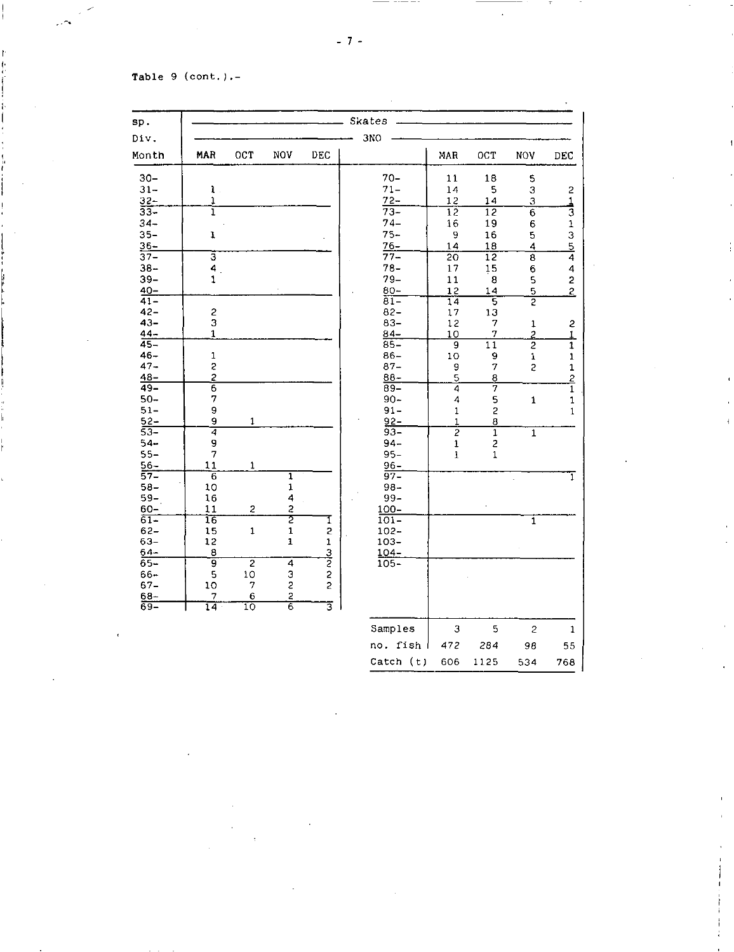## Table 9 (cont.).-

I

| sp.              |                   | Skates                  |                         |                         |                    |                 |                         |                         |                                           |  |  |  |  |
|------------------|-------------------|-------------------------|-------------------------|-------------------------|--------------------|-----------------|-------------------------|-------------------------|-------------------------------------------|--|--|--|--|
| Div.             |                   |                         |                         |                         | 3NO                |                 |                         |                         |                                           |  |  |  |  |
| Montn            | MAR               | OCT                     | <b>NOV</b>              | DEC                     |                    | MAR             | OCT                     | NOV                     | DEC                                       |  |  |  |  |
| $30 -$           |                   |                         |                         |                         | $70 -$             | 11              | 18                      | $\mathbb S$             |                                           |  |  |  |  |
| $31 -$           | $\mathbf{1}$ .    |                         |                         |                         | $71 -$             | 14              | 5                       | $\mathfrak 3$           | $\overline{\mathbf{c}}$                   |  |  |  |  |
| $\frac{32}{33}$  | ï                 |                         |                         |                         | $72 -$             | 12              | 14                      | 3                       | 1                                         |  |  |  |  |
|                  | ī                 |                         |                         |                         | $73-$              | $\overline{12}$ | 12                      | $\overline{6}$          | $\overline{3}$                            |  |  |  |  |
| $34 -$           |                   |                         |                         |                         | $74-$              | 16              | 19                      | 6                       |                                           |  |  |  |  |
| $35 -$           | $\mathbf{I}$      |                         |                         |                         | $75 -$             | 9               | 16                      | 5                       |                                           |  |  |  |  |
| $36 -$           |                   |                         |                         |                         | $76 -$             | 14              | 18                      | 4                       | $\frac{1}{3}$<br>$\frac{5}{4}$            |  |  |  |  |
| $37 -$           | उ                 |                         |                         |                         | $77 -$             | 20              | $\overline{12}$         | 8                       |                                           |  |  |  |  |
| $38 -$<br>$39 -$ | 4<br>$\mathbf{1}$ |                         |                         |                         | $78 -$<br>$79 -$   | 17              | 15<br>8                 | 6                       | 4                                         |  |  |  |  |
| $40 -$           |                   |                         |                         |                         | $80 -$             | 11<br>12        |                         | 5<br>5                  | $\overline{\mathbf{c}}$<br>$\overline{2}$ |  |  |  |  |
| $41 -$           |                   |                         |                         |                         | $81-$              | 14              | 14<br>5                 | $\overline{2}$          |                                           |  |  |  |  |
| $42 -$           | $\overline{c}$    |                         |                         |                         | $82 -$             | 17              | 13                      |                         |                                           |  |  |  |  |
| $43 -$           | 3                 |                         |                         |                         | $83 -$             | 12              | 7                       | $\mathbf 1$             | $\mathbf{c}$                              |  |  |  |  |
| $44 -$           | $\mathbf{1}$      |                         |                         |                         | $84 -$             | 10              | $\overline{\mathbf{z}}$ | $\overline{2}$          | $\overline{1}$                            |  |  |  |  |
| $45 -$           |                   |                         |                         |                         | $85 -$             | 9               | 11                      | $\overline{2}$          | $\overline{1}$                            |  |  |  |  |
| $46 -$           | $\mathbf 1$       |                         |                         |                         | $86 -$             | 10              | 9                       | 1                       | $\mathbf 1$                               |  |  |  |  |
| $47 -$           |                   |                         |                         |                         | $87 -$             | 9               | 7                       | $\overline{c}$          | $\mathbf{1}$                              |  |  |  |  |
| $48-$            | $\frac{2}{2}$     |                         |                         |                         | $88 -$             | 5               | 8                       |                         | $\overline{2}$                            |  |  |  |  |
| $49 -$           | $\overline{6}$    |                         |                         |                         | $89-$              | $\overline{4}$  | 7                       |                         | $\overline{1}$                            |  |  |  |  |
| $50 -$           | 7                 |                         |                         |                         | $90 -$             | 4               | 5                       | $\mathbf 1$             | $\mathbf 1$                               |  |  |  |  |
| $51-$            | 9                 |                         |                         |                         | $91 -$             | $\mathbf{1}$    | $\overline{\mathbf{c}}$ |                         | $\mathbf{1}$                              |  |  |  |  |
| $52 -$           | 9                 | 1                       |                         |                         | $92 -$             | $\mathbf{1}$    | 8                       |                         |                                           |  |  |  |  |
| $53-$            | 7                 |                         |                         |                         | $93 -$             | $\overline{2}$  | $\overline{1}$          | $\overline{1}$          |                                           |  |  |  |  |
| $54 -$           | 9                 |                         |                         |                         | $94 -$             | 1               | 2                       |                         |                                           |  |  |  |  |
| $55-$            | 7                 |                         |                         |                         | $95 -$             | $\mathbf{1}$    | $\mathbf 1$             |                         |                                           |  |  |  |  |
| $56 -$           | 11                | $\mathbf 1$             |                         |                         | $96 -$             |                 |                         |                         |                                           |  |  |  |  |
| 57–              | $\overline{6}$    |                         | $\overline{\mathbf{1}}$ |                         | $97 -$             |                 |                         |                         | ī                                         |  |  |  |  |
| $58 -$           | 10                |                         | $\mathbf{1}$            |                         | $98 -$             |                 |                         |                         |                                           |  |  |  |  |
| $59 -$           | 16<br>11          |                         | $\frac{1}{4}$<br>2      |                         | 99-                |                 |                         |                         |                                           |  |  |  |  |
| $60 -$<br>61-    | 16                | $\overline{\mathbf{c}}$ | 2                       | I                       | $100 -$<br>$101 -$ |                 |                         |                         |                                           |  |  |  |  |
| $62 -$           | 15                | $\mathbf 1$             | $\mathbf 1$             | 2                       | $102 -$            |                 |                         | $\overline{\mathbf{1}}$ |                                           |  |  |  |  |
| $63 -$           | 12                |                         | $\mathbf{1}$            | $\mathbf 1$             | $103 -$            |                 |                         |                         |                                           |  |  |  |  |
| $64 -$           | 8                 |                         |                         |                         | $104 -$            |                 |                         |                         |                                           |  |  |  |  |
| $65 -$           | ॿ                 | $\overline{2}$          | 4                       | $\frac{3}{2}$           | $105 -$            |                 |                         |                         |                                           |  |  |  |  |
| $66 -$           | 5                 | 10                      |                         | $\overline{c}$          |                    |                 |                         |                         |                                           |  |  |  |  |
| $67 -$           | 10                | 7                       | $\frac{3}{2}$           | $\overline{c}$          |                    |                 |                         |                         |                                           |  |  |  |  |
| $68 -$           | 7                 | $\boldsymbol{6}$        |                         |                         |                    |                 |                         |                         |                                           |  |  |  |  |
| 69–              | $\overline{14}$   | ΊÒ                      | $\frac{2}{6}$           | $\overline{\mathbb{3}}$ |                    |                 |                         |                         |                                           |  |  |  |  |
|                  |                   |                         |                         |                         | Samples            | 3               | 5                       | $\overline{c}$          | 1                                         |  |  |  |  |
|                  |                   |                         |                         |                         |                    |                 |                         |                         |                                           |  |  |  |  |
|                  |                   |                         |                         |                         | no. fish           | 472             | 284                     | 98                      | 55                                        |  |  |  |  |

Catch (t) 606 1125 534 768